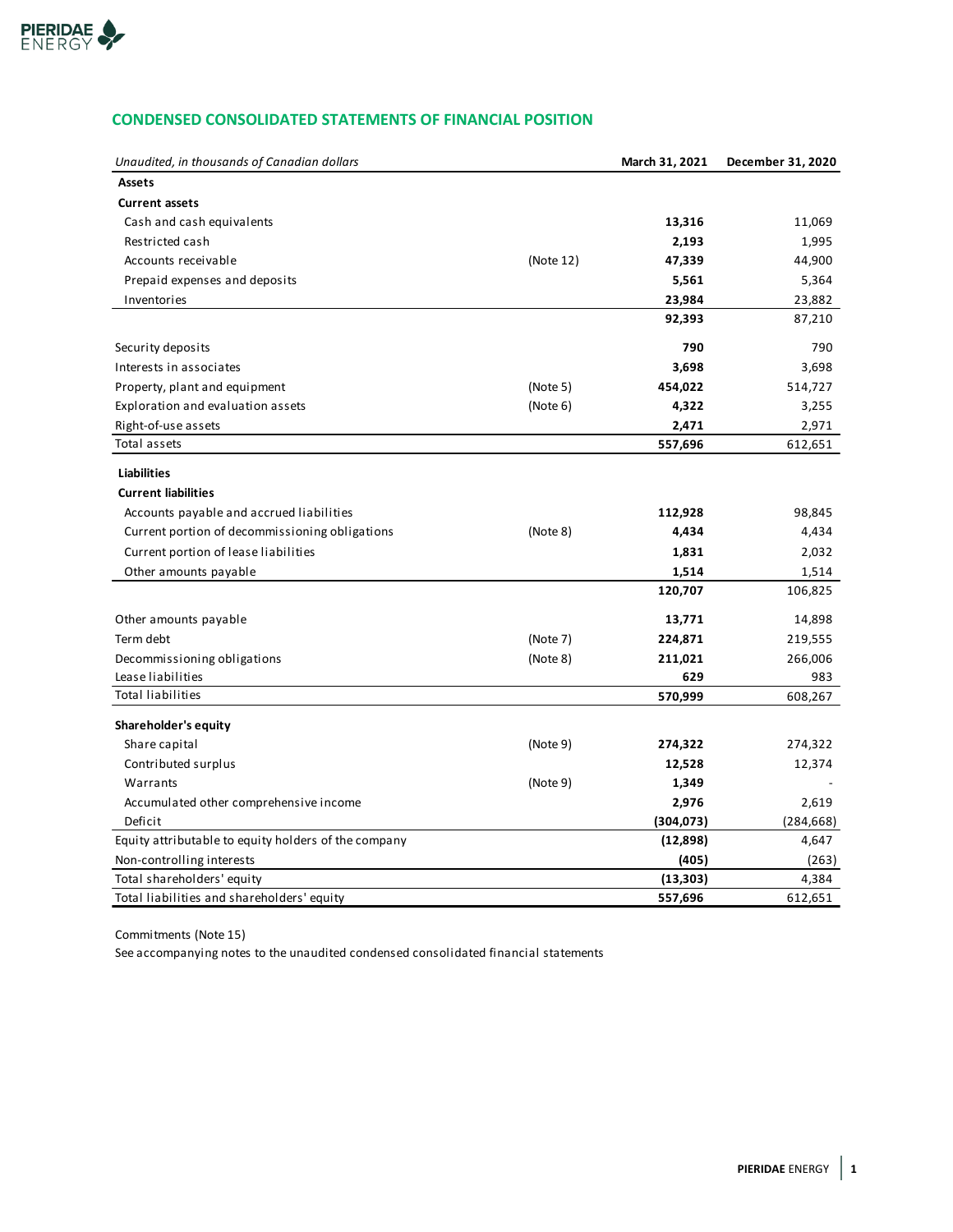

# **CONDENSED CONSOLIDATED STATEMENTS OF FINANCIAL POSITION**

| Unaudited, in thousands of Canadian dollars          |           | March 31, 2021 | December 31, 2020 |
|------------------------------------------------------|-----------|----------------|-------------------|
| <b>Assets</b>                                        |           |                |                   |
| <b>Current assets</b>                                |           |                |                   |
| Cash and cash equivalents                            |           | 13,316         | 11,069            |
| Restricted cash                                      |           | 2,193          | 1,995             |
| Accounts receivable                                  | (Note 12) | 47,339         | 44,900            |
| Prepaid expenses and deposits                        |           | 5,561          | 5,364             |
| Inventories                                          |           | 23,984         | 23,882            |
|                                                      |           | 92,393         | 87,210            |
| Security deposits                                    |           | 790            | 790               |
| Interests in associates                              |           | 3,698          | 3,698             |
| Property, plant and equipment                        | (Note 5)  | 454,022        | 514,727           |
| Exploration and evaluation assets                    | (Note 6)  | 4,322          | 3,255             |
| Right-of-use assets                                  |           | 2,471          | 2,971             |
| Total assets                                         |           | 557,696        | 612,651           |
| <b>Liabilities</b>                                   |           |                |                   |
| <b>Current liabilities</b>                           |           |                |                   |
| Accounts payable and accrued liabilities             |           | 112,928        | 98,845            |
| Current portion of decommissioning obligations       | (Note 8)  | 4,434          | 4,434             |
| Current portion of lease liabilities                 |           | 1,831          | 2,032             |
| Other amounts payable                                |           | 1,514          | 1,514             |
|                                                      |           | 120,707        | 106,825           |
| Other amounts payable                                |           | 13,771         | 14,898            |
| Term debt                                            | (Note 7)  | 224,871        | 219,555           |
| Decommissioning obligations                          | (Note 8)  | 211,021        | 266,006           |
| Lease liabilities                                    |           | 629            | 983               |
| <b>Total liabilities</b>                             |           | 570,999        | 608,267           |
| Shareholder's equity                                 |           |                |                   |
| Share capital                                        | (Note 9)  | 274,322        | 274,322           |
| Contributed surplus                                  |           | 12,528         | 12,374            |
| Warrants                                             | (Note 9)  | 1,349          |                   |
| Accumulated other comprehensive income               |           | 2,976          | 2,619             |
| Deficit                                              |           | (304,073)      | (284, 668)        |
| Equity attributable to equity holders of the company |           | (12, 898)      | 4,647             |
| Non-controlling interests                            |           | (405)          | (263)             |
| Total shareholders' equity                           |           | (13, 303)      | 4,384             |
| Total liabilities and shareholders' equity           |           | 557,696        | 612,651           |

Commitments (Note 15)

See accompanying notes to the unaudited condensed consolidated financial statements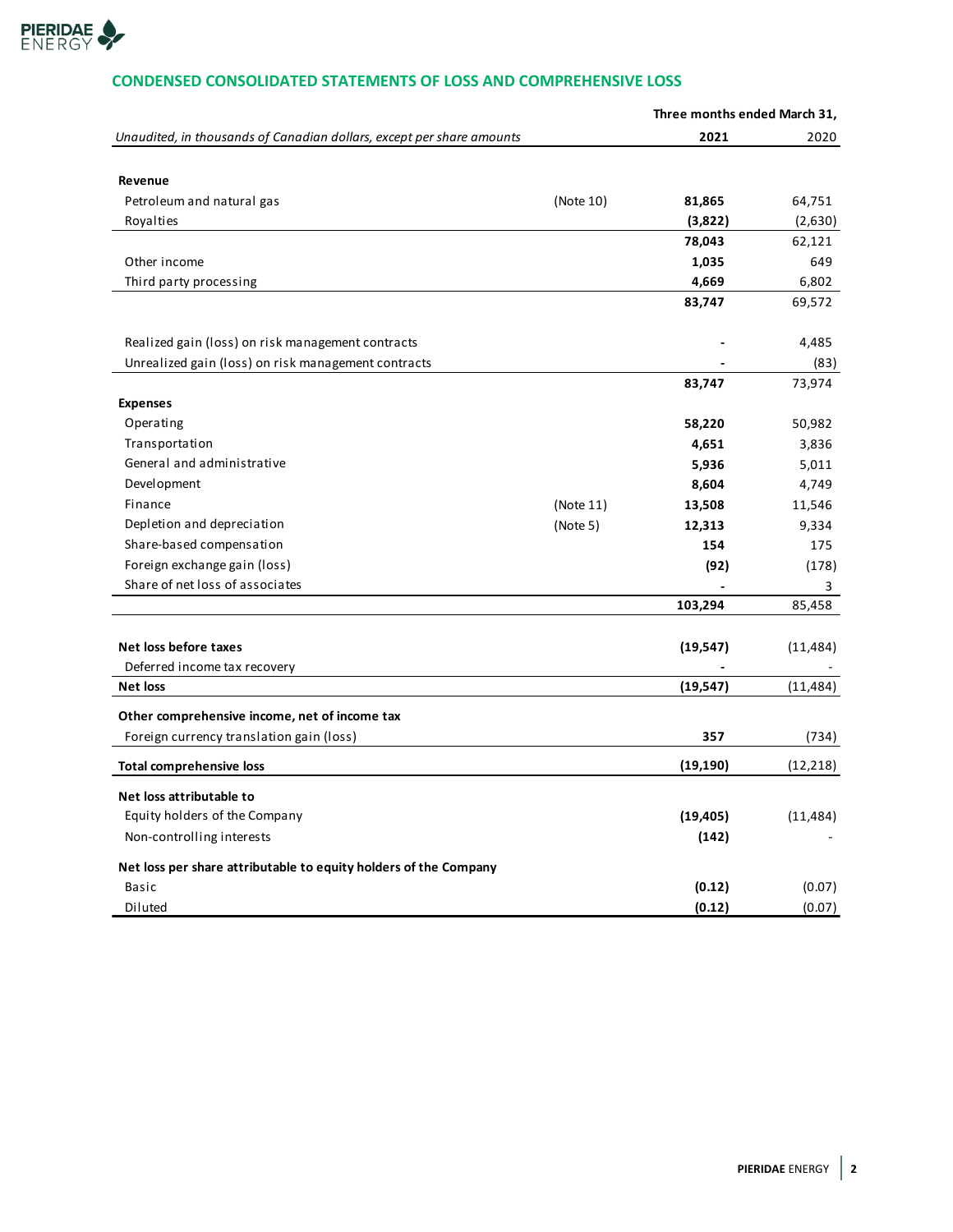

# **CONDENSED CONSOLIDATED STATEMENTS OF LOSS AND COMPREHENSIVE LOSS**

|                                                                       |           | Three months ended March 31, |           |
|-----------------------------------------------------------------------|-----------|------------------------------|-----------|
| Unaudited, in thousands of Canadian dollars, except per share amounts |           | 2021                         | 2020      |
|                                                                       |           |                              |           |
| Revenue                                                               |           |                              |           |
| Petroleum and natural gas                                             | (Note 10) | 81,865                       | 64,751    |
| Royalties                                                             |           | (3,822)                      | (2,630)   |
|                                                                       |           | 78,043                       | 62,121    |
| Other income                                                          |           | 1,035                        | 649       |
| Third party processing                                                |           | 4,669                        | 6,802     |
|                                                                       |           | 83,747                       | 69,572    |
| Realized gain (loss) on risk management contracts                     |           |                              | 4,485     |
| Unrealized gain (loss) on risk management contracts                   |           |                              | (83)      |
|                                                                       |           | 83,747                       | 73,974    |
| <b>Expenses</b>                                                       |           |                              |           |
| Operating                                                             |           | 58,220                       | 50,982    |
| Transportation                                                        |           | 4,651                        | 3,836     |
| General and administrative                                            |           | 5,936                        | 5,011     |
| Development                                                           |           | 8,604                        | 4,749     |
| Finance                                                               | (Note 11) | 13,508                       | 11,546    |
| Depletion and depreciation                                            | (Note 5)  | 12,313                       | 9,334     |
| Share-based compensation                                              |           | 154                          | 175       |
| Foreign exchange gain (loss)                                          |           | (92)                         | (178)     |
| Share of net loss of associates                                       |           |                              | 3         |
|                                                                       |           | 103,294                      | 85,458    |
|                                                                       |           |                              |           |
| Net loss before taxes                                                 |           | (19, 547)                    | (11, 484) |
| Deferred income tax recovery                                          |           |                              |           |
| <b>Net loss</b>                                                       |           | (19, 547)                    | (11, 484) |
| Other comprehensive income, net of income tax                         |           |                              |           |
| Foreign currency translation gain (loss)                              |           | 357                          | (734)     |
| Total comprehensive loss                                              |           | (19, 190)                    | (12, 218) |
| Net loss attributable to                                              |           |                              |           |
| Equity holders of the Company                                         |           | (19, 405)                    | (11, 484) |
| Non-controlling interests                                             |           | (142)                        |           |
| Net loss per share attributable to equity holders of the Company      |           |                              |           |
| Basic                                                                 |           | (0.12)                       | (0.07)    |
| Diluted                                                               |           | (0.12)                       | (0.07)    |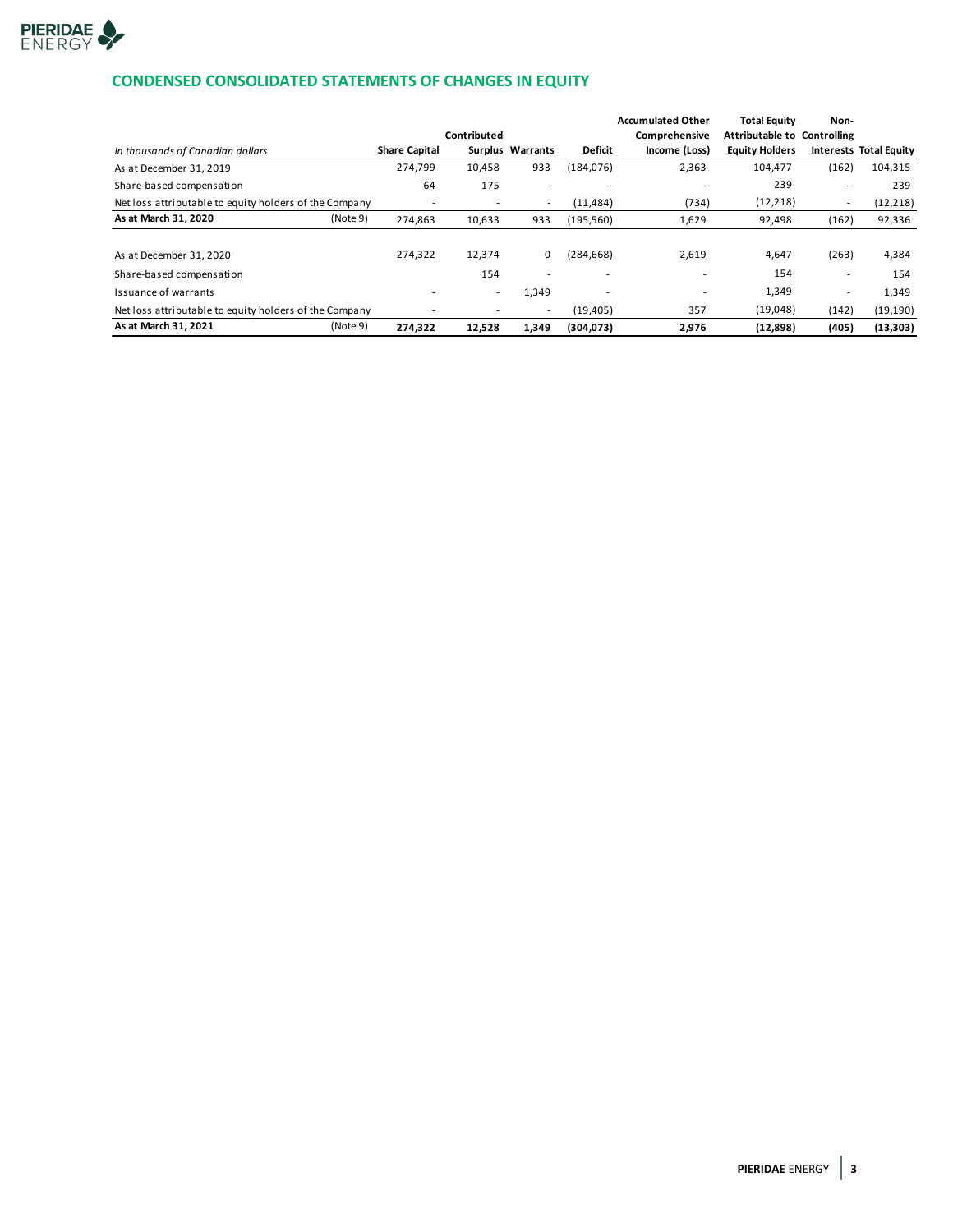

# **CONDENSED CONSOLIDATED STATEMENTS OF CHANGES IN EQUITY**

| In thousands of Canadian dollars                       | <b>Share Capital</b> | Contributed | Surplus Warrants         | <b>Deficit</b> | <b>Accumulated Other</b><br>Comprehensive<br>Income (Loss) | <b>Total Equity</b><br>Attributable to Controlling<br><b>Equity Holders</b> | Non-   | <b>Interests Total Equity</b> |
|--------------------------------------------------------|----------------------|-------------|--------------------------|----------------|------------------------------------------------------------|-----------------------------------------------------------------------------|--------|-------------------------------|
| As at December 31, 2019                                | 274,799              | 10,458      | 933                      | (184, 076)     | 2,363                                                      | 104.477                                                                     | (162)  | 104,315                       |
| Share-based compensation                               | 64                   | 175         | ٠                        |                |                                                            | 239                                                                         | $\sim$ | 239                           |
| Net loss attributable to equity holders of the Company | ۰                    | ٠           | $\overline{\phantom{a}}$ | (11, 484)      | (734)                                                      | (12, 218)                                                                   | $\sim$ | (12, 218)                     |
| As at March 31, 2020<br>(Note 9)                       | 274,863              | 10,633      | 933                      | (195, 560)     | 1,629                                                      | 92,498                                                                      | (162)  | 92,336                        |
|                                                        |                      |             |                          |                |                                                            |                                                                             |        |                               |
| As at December 31, 2020                                | 274,322              | 12,374      | 0                        | (284, 668)     | 2,619                                                      | 4,647                                                                       | (263)  | 4,384                         |
| Share-based compensation                               |                      | 154         |                          |                | $\overline{\phantom{a}}$                                   | 154                                                                         | ۰      | 154                           |
| Issuance of warrants                                   |                      | ۰           | 1,349                    |                |                                                            | 1,349                                                                       | ۰      | 1,349                         |
| Net loss attributable to equity holders of the Company |                      |             | $\overline{a}$           | (19, 405)      | 357                                                        | (19,048)                                                                    | (142)  | (19, 190)                     |
| As at March 31, 2021<br>(Note 9)                       | 274,322              | 12,528      | 1,349                    | (304, 073)     | 2,976                                                      | (12, 898)                                                                   | (405)  | (13, 303)                     |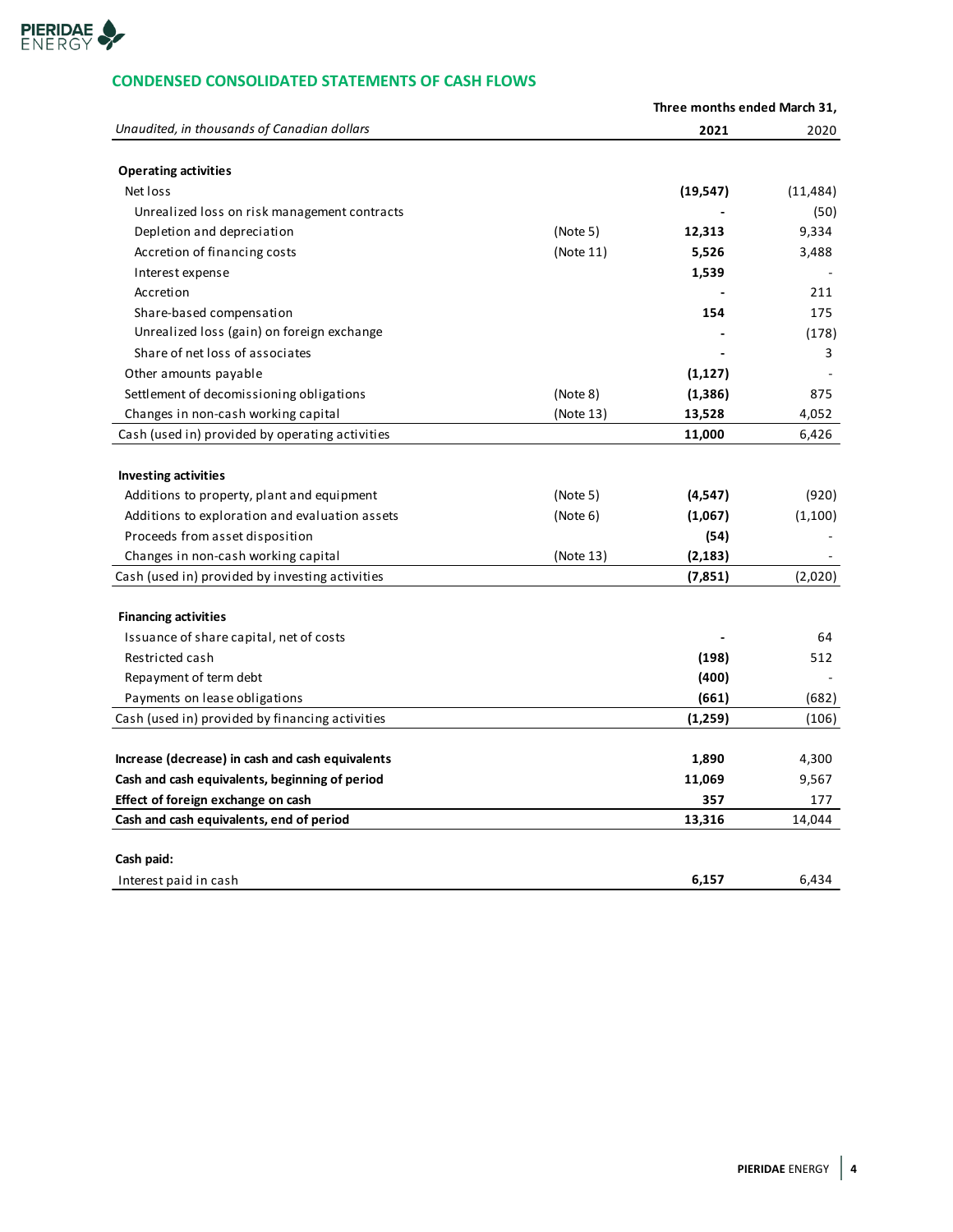

# **CONDENSED CONSOLIDATED STATEMENTS OF CASH FLOWS**

|                                                  |           | Three months ended March 31, |           |
|--------------------------------------------------|-----------|------------------------------|-----------|
| Unaudited, in thousands of Canadian dollars      |           | 2021                         | 2020      |
| <b>Operating activities</b>                      |           |                              |           |
| Net loss                                         |           | (19, 547)                    | (11, 484) |
| Unrealized loss on risk management contracts     |           |                              | (50)      |
| Depletion and depreciation                       | (Note 5)  | 12,313                       | 9,334     |
| Accretion of financing costs                     | (Note 11) | 5,526                        | 3,488     |
| Interest expense                                 |           | 1,539                        |           |
| Accretion                                        |           |                              | 211       |
| Share-based compensation                         |           | 154                          | 175       |
| Unrealized loss (gain) on foreign exchange       |           |                              | (178)     |
| Share of net loss of associates                  |           |                              | 3         |
| Other amounts payable                            |           | (1, 127)                     |           |
| Settlement of decomissioning obligations         | (Note 8)  | (1,386)                      | 875       |
| Changes in non-cash working capital              | (Note 13) | 13,528                       | 4,052     |
| Cash (used in) provided by operating activities  |           | 11,000                       | 6,426     |
|                                                  |           |                              |           |
| <b>Investing activities</b>                      |           |                              |           |
| Additions to property, plant and equipment       | (Note 5)  | (4, 547)                     | (920)     |
| Additions to exploration and evaluation assets   | (Note 6)  | (1,067)                      | (1,100)   |
| Proceeds from asset disposition                  |           | (54)                         |           |
| Changes in non-cash working capital              | (Note 13) | (2, 183)                     |           |
| Cash (used in) provided by investing activities  |           | (7, 851)                     | (2,020)   |
|                                                  |           |                              |           |
| <b>Financing activities</b>                      |           |                              |           |
| Issuance of share capital, net of costs          |           |                              | 64        |
| Restricted cash                                  |           | (198)                        | 512       |
| Repayment of term debt                           |           | (400)                        |           |
| Payments on lease obligations                    |           | (661)                        | (682)     |
| Cash (used in) provided by financing activities  |           | (1,259)                      | (106)     |
| Increase (decrease) in cash and cash equivalents |           | 1,890                        | 4,300     |
| Cash and cash equivalents, beginning of period   |           | 11,069                       | 9,567     |
| Effect of foreign exchange on cash               |           | 357                          | 177       |
| Cash and cash equivalents, end of period         |           | 13,316                       | 14,044    |
|                                                  |           |                              |           |
| Cash paid:                                       |           |                              |           |
| Interest paid in cash                            |           | 6,157                        | 6,434     |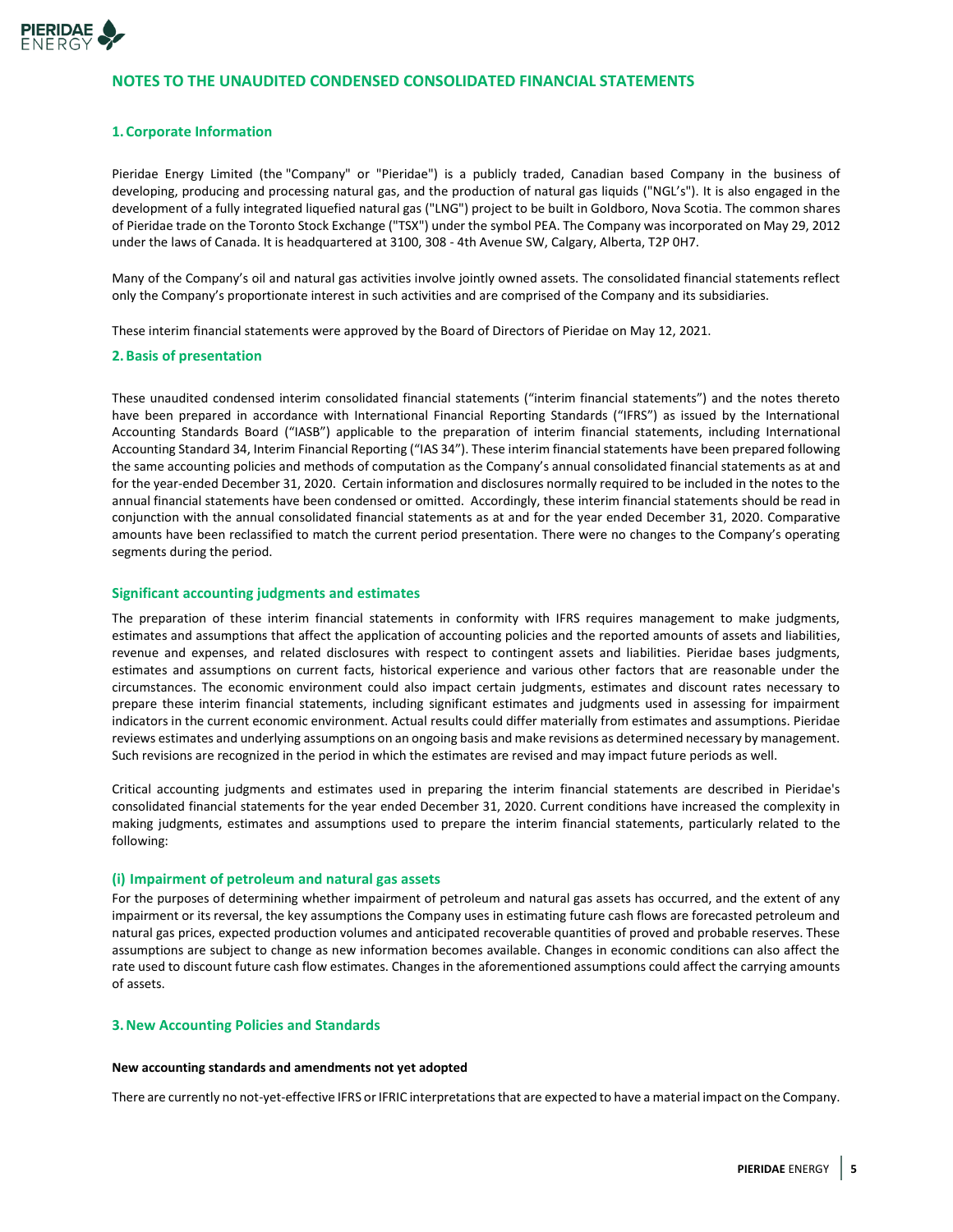

## **NOTES TO THE UNAUDITED CONDENSED CONSOLIDATED FINANCIAL STATEMENTS**

#### **1.Corporate Information**

Pieridae Energy Limited (the "Company" or "Pieridae") is a publicly traded, Canadian based Company in the business of developing, producing and processing natural gas, and the production of natural gas liquids ("NGL's"). It is also engaged in the development of a fully integrated liquefied natural gas ("LNG") project to be built in Goldboro, Nova Scotia. The common shares of Pieridae trade on the Toronto Stock Exchange ("TSX") under the symbol PEA. The Company was incorporated on May 29, 2012 under the laws of Canada. It is headquartered at 3100, 308 - 4th Avenue SW, Calgary, Alberta, T2P 0H7.

Many of the Company's oil and natural gas activities involve jointly owned assets. The consolidated financial statements reflect only the Company's proportionate interest in such activities and are comprised of the Company and its subsidiaries.

These interim financial statements were approved by the Board of Directors of Pieridae on May 12, 2021.

#### **2.Basis of presentation**

These unaudited condensed interim consolidated financial statements ("interim financial statements") and the notes thereto have been prepared in accordance with International Financial Reporting Standards ("IFRS") as issued by the International Accounting Standards Board ("IASB") applicable to the preparation of interim financial statements, including International Accounting Standard 34, Interim Financial Reporting ("IAS 34"). These interim financial statements have been prepared following the same accounting policies and methods of computation as the Company's annual consolidated financial statements as at and for the year-ended December 31, 2020. Certain information and disclosures normally required to be included in the notes to the annual financial statements have been condensed or omitted. Accordingly, these interim financial statements should be read in conjunction with the annual consolidated financial statements as at and for the year ended December 31, 2020. Comparative amounts have been reclassified to match the current period presentation. There were no changes to the Company's operating segments during the period.

#### **Significant accounting judgments and estimates**

The preparation of these interim financial statements in conformity with IFRS requires management to make judgments, estimates and assumptions that affect the application of accounting policies and the reported amounts of assets and liabilities, revenue and expenses, and related disclosures with respect to contingent assets and liabilities. Pieridae bases judgments, estimates and assumptions on current facts, historical experience and various other factors that are reasonable under the circumstances. The economic environment could also impact certain judgments, estimates and discount rates necessary to prepare these interim financial statements, including significant estimates and judgments used in assessing for impairment indicators in the current economic environment. Actual results could differ materially from estimates and assumptions. Pieridae reviews estimates and underlying assumptions on an ongoing basis and make revisions as determined necessary by management. Such revisions are recognized in the period in which the estimates are revised and may impact future periods as well.

Critical accounting judgments and estimates used in preparing the interim financial statements are described in Pieridae's consolidated financial statements for the year ended December 31, 2020. Current conditions have increased the complexity in making judgments, estimates and assumptions used to prepare the interim financial statements, particularly related to the following:

#### **(i) Impairment of petroleum and natural gas assets**

For the purposes of determining whether impairment of petroleum and natural gas assets has occurred, and the extent of any impairment or its reversal, the key assumptions the Company uses in estimating future cash flows are forecasted petroleum and natural gas prices, expected production volumes and anticipated recoverable quantities of proved and probable reserves. These assumptions are subject to change as new information becomes available. Changes in economic conditions can also affect the rate used to discount future cash flow estimates. Changes in the aforementioned assumptions could affect the carrying amounts of assets.

#### **3.New Accounting Policies and Standards**

#### **New accounting standards and amendments not yet adopted**

There are currently no not-yet-effective IFRS or IFRIC interpretations that are expected to have a material impact on the Company.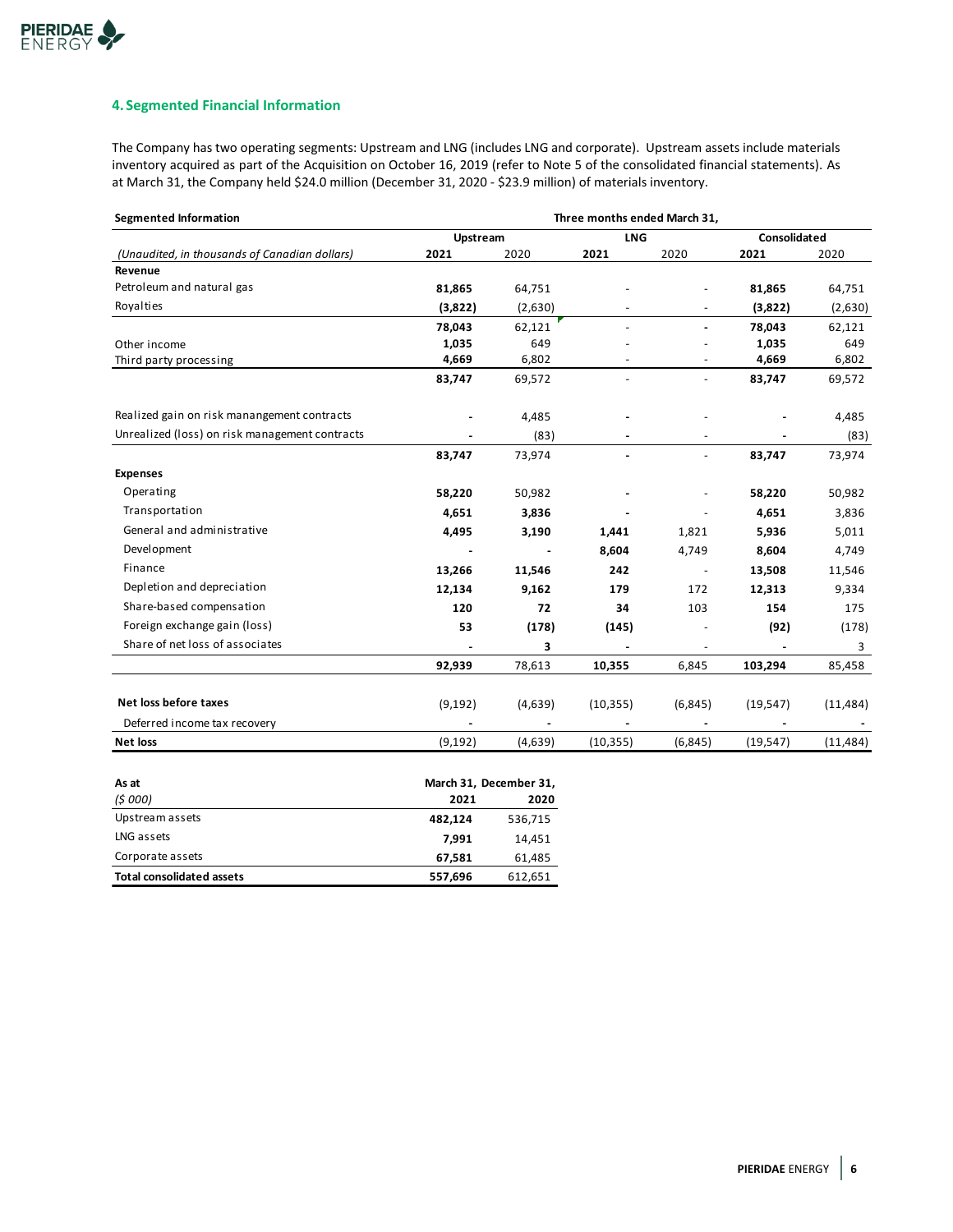# **4. Segmented Financial Information**

The Company has two operating segments: Upstream and LNG (includes LNG and corporate). Upstream assets include materials inventory acquired as part of the Acquisition on October 16, 2019 (refer to Note 5 of the consolidated financial statements). As at March 31, the Company held \$24.0 million (December 31, 2020 - \$23.9 million) of materials inventory.

| <b>Segmented Information</b>                   | Three months ended March 31, |         |            |                          |              |           |
|------------------------------------------------|------------------------------|---------|------------|--------------------------|--------------|-----------|
|                                                | Upstream                     |         | <b>LNG</b> |                          | Consolidated |           |
| (Unaudited, in thousands of Canadian dollars)  | 2021                         | 2020    | 2021       | 2020                     | 2021         | 2020      |
| Revenue                                        |                              |         |            |                          |              |           |
| Petroleum and natural gas                      | 81,865                       | 64,751  |            |                          | 81,865       | 64,751    |
| Royalties                                      | (3,822)                      | (2,630) |            |                          | (3,822)      | (2,630)   |
|                                                | 78,043                       | 62,121  |            |                          | 78,043       | 62,121    |
| Other income                                   | 1,035                        | 649     |            |                          | 1,035        | 649       |
| Third party processing                         | 4,669                        | 6,802   |            |                          | 4,669        | 6,802     |
|                                                | 83,747                       | 69,572  |            | $\overline{\phantom{a}}$ | 83,747       | 69,572    |
| Realized gain on risk manangement contracts    |                              | 4,485   |            |                          |              | 4,485     |
| Unrealized (loss) on risk management contracts |                              | (83)    |            |                          |              | (83)      |
|                                                | 83,747                       | 73,974  |            | ÷,                       | 83,747       | 73,974    |
| <b>Expenses</b>                                |                              |         |            |                          |              |           |
| Operating                                      | 58,220                       | 50,982  |            |                          | 58,220       | 50,982    |
| Transportation                                 | 4,651                        | 3,836   |            |                          | 4,651        | 3,836     |
| General and administrative                     | 4,495                        | 3,190   | 1,441      | 1,821                    | 5,936        | 5,011     |
| <b>Development</b>                             | $\blacksquare$               |         | 8,604      | 4,749                    | 8,604        | 4,749     |
| Finance                                        | 13,266                       | 11,546  | 242        | $\overline{\phantom{a}}$ | 13,508       | 11,546    |
| Depletion and depreciation                     | 12,134                       | 9,162   | 179        | 172                      | 12,313       | 9,334     |
| Share-based compensation                       | 120                          | 72      | 34         | 103                      | 154          | 175       |
| Foreign exchange gain (loss)                   | 53                           | (178)   | (145)      |                          | (92)         | (178)     |
| Share of net loss of associates                |                              | 3       |            |                          |              | 3         |
|                                                | 92,939                       | 78,613  | 10,355     | 6,845                    | 103,294      | 85,458    |
| Net loss before taxes                          | (9, 192)                     | (4,639) | (10, 355)  | (6, 845)                 | (19, 547)    | (11, 484) |
| Deferred income tax recovery                   |                              |         |            |                          |              |           |
| <b>Net loss</b>                                | (9, 192)                     | (4,639) | (10, 355)  | (6,845)                  | (19, 547)    | (11, 484) |

| As at                            | March 31, December 31, |         |  |
|----------------------------------|------------------------|---------|--|
| (5000)                           | 2021                   | 2020    |  |
| Upstream assets                  | 482.124                | 536,715 |  |
| LNG assets                       | 7.991                  | 14.451  |  |
| Corporate assets                 | 67.581                 | 61,485  |  |
| <b>Total consolidated assets</b> | 557,696                | 612,651 |  |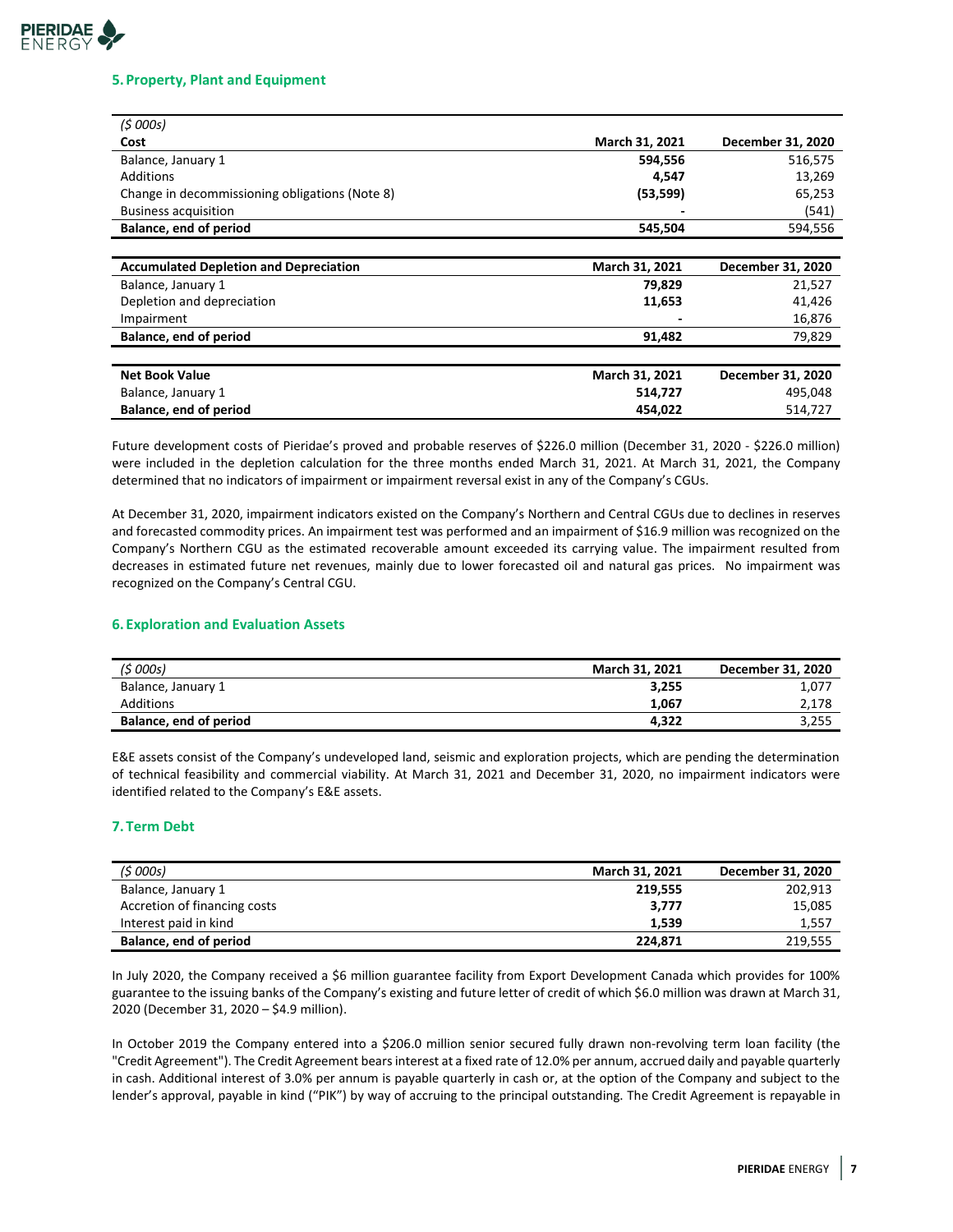# **PIERIDAE**  $FNIFRG'$

## **5.Property, Plant and Equipment**

| (5000s)                                        |                |                   |
|------------------------------------------------|----------------|-------------------|
| Cost                                           | March 31, 2021 | December 31, 2020 |
| Balance, January 1                             | 594,556        | 516,575           |
| Additions                                      | 4,547          | 13,269            |
| Change in decommissioning obligations (Note 8) | (53, 599)      | 65,253            |
| <b>Business acquisition</b>                    |                | (541)             |
| Balance, end of period                         | 545,504        | 594,556           |
|                                                |                |                   |
| <b>Accumulated Depletion and Depreciation</b>  | March 31, 2021 | December 31, 2020 |
| Balance, January 1                             | 79,829         | 21,527            |
| Depletion and depreciation                     | 11,653         | 41,426            |
| Impairment                                     |                | 16,876            |
| Balance, end of period                         | 91,482         | 79,829            |
|                                                |                |                   |
| <b>Net Book Value</b>                          | March 31, 2021 | December 31, 2020 |
| Balance, January 1                             | 514,727        | 495,048           |
| Balance, end of period                         | 454,022        | 514,727           |

Future development costs of Pieridae's proved and probable reserves of \$226.0 million (December 31, 2020 - \$226.0 million) were included in the depletion calculation for the three months ended March 31, 2021. At March 31, 2021, the Company determined that no indicators of impairment or impairment reversal exist in any of the Company's CGUs.

At December 31, 2020, impairment indicators existed on the Company's Northern and Central CGUs due to declines in reserves and forecasted commodity prices. An impairment test was performed and an impairment of \$16.9 million was recognized on the Company's Northern CGU as the estimated recoverable amount exceeded its carrying value. The impairment resulted from decreases in estimated future net revenues, mainly due to lower forecasted oil and natural gas prices. No impairment was recognized on the Company's Central CGU.

# **6. Exploration and Evaluation Assets**

| (5000s)                | <b>March 31, 2021</b> | December 31, 2020 |
|------------------------|-----------------------|-------------------|
| Balance, January 1     | 3,255                 | 1,077             |
| <b>Additions</b>       | 1.067                 | 2,178             |
| Balance, end of period | 4.322                 | 3,255             |

E&E assets consist of the Company's undeveloped land, seismic and exploration projects, which are pending the determination of technical feasibility and commercial viability. At March 31, 2021 and December 31, 2020, no impairment indicators were identified related to the Company's E&E assets.

# **7. Term Debt**

| (5000s)                      | March 31, 2021 | December 31, 2020 |
|------------------------------|----------------|-------------------|
| Balance, January 1           | 219.555        | 202,913           |
| Accretion of financing costs | 3,777          | 15,085            |
| Interest paid in kind        | 1.539          | 1,557             |
| Balance, end of period       | 224.871        | 219,555           |

In July 2020, the Company received a \$6 million guarantee facility from Export Development Canada which provides for 100% guarantee to the issuing banks of the Company's existing and future letter of credit of which \$6.0 million was drawn at March 31, 2020 (December 31, 2020 – \$4.9 million).

In October 2019 the Company entered into a \$206.0 million senior secured fully drawn non-revolving term loan facility (the "Credit Agreement"). The Credit Agreement bears interest at a fixed rate of 12.0% per annum, accrued daily and payable quarterly in cash. Additional interest of 3.0% per annum is payable quarterly in cash or, at the option of the Company and subject to the lender's approval, payable in kind ("PIK") by way of accruing to the principal outstanding. The Credit Agreement is repayable in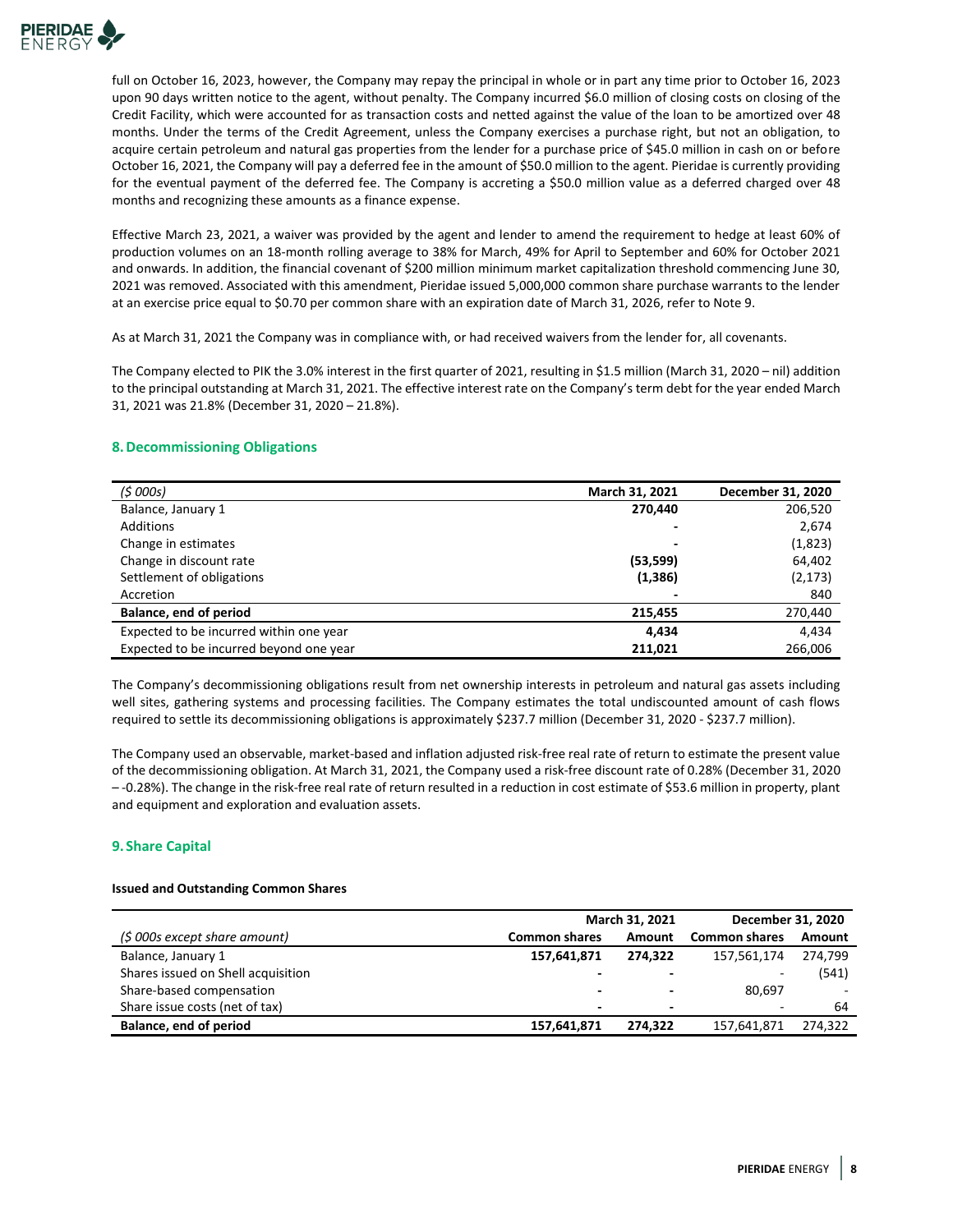

full on October 16, 2023, however, the Company may repay the principal in whole or in part any time prior to October 16, 2023 upon 90 days written notice to the agent, without penalty. The Company incurred \$6.0 million of closing costs on closing of the Credit Facility, which were accounted for as transaction costs and netted against the value of the loan to be amortized over 48 months. Under the terms of the Credit Agreement, unless the Company exercises a purchase right, but not an obligation, to acquire certain petroleum and natural gas properties from the lender for a purchase price of \$45.0 million in cash on or before October 16, 2021, the Company will pay a deferred fee in the amount of \$50.0 million to the agent. Pieridae is currently providing for the eventual payment of the deferred fee. The Company is accreting a \$50.0 million value as a deferred charged over 48 months and recognizing these amounts as a finance expense.

Effective March 23, 2021, a waiver was provided by the agent and lender to amend the requirement to hedge at least 60% of production volumes on an 18-month rolling average to 38% for March, 49% for April to September and 60% for October 2021 and onwards. In addition, the financial covenant of \$200 million minimum market capitalization threshold commencing June 30, 2021 was removed. Associated with this amendment, Pieridae issued 5,000,000 common share purchase warrants to the lender at an exercise price equal to \$0.70 per common share with an expiration date of March 31, 2026, refer to Note 9.

As at March 31, 2021 the Company was in compliance with, or had received waivers from the lender for, all covenants.

The Company elected to PIK the 3.0% interest in the first quarter of 2021, resulting in \$1.5 million (March 31, 2020 – nil) addition to the principal outstanding at March 31, 2021. The effective interest rate on the Company's term debt for the year ended March 31, 2021 was 21.8% (December 31, 2020 – 21.8%).

# **8.Decommissioning Obligations**

| (5000s)                                 | March 31, 2021 | December 31, 2020 |
|-----------------------------------------|----------------|-------------------|
| Balance, January 1                      | 270,440        | 206,520           |
| Additions                               |                | 2,674             |
| Change in estimates                     |                | (1,823)           |
| Change in discount rate                 | (53, 599)      | 64,402            |
| Settlement of obligations               | (1, 386)       | (2, 173)          |
| Accretion                               |                | 840               |
| Balance, end of period                  | 215.455        | 270,440           |
| Expected to be incurred within one year | 4.434          | 4,434             |
| Expected to be incurred beyond one year | 211,021        | 266,006           |

The Company's decommissioning obligations result from net ownership interests in petroleum and natural gas assets including well sites, gathering systems and processing facilities. The Company estimates the total undiscounted amount of cash flows required to settle its decommissioning obligations is approximately \$237.7 million (December 31, 2020 - \$237.7 million).

The Company used an observable, market-based and inflation adjusted risk-free real rate of return to estimate the present value of the decommissioning obligation. At March 31, 2021, the Company used a risk-free discount rate of 0.28% (December 31, 2020 – -0.28%). The change in the risk-free real rate of return resulted in a reduction in cost estimate of \$53.6 million in property, plant and equipment and exploration and evaluation assets.

# **9. Share Capital**

## **Issued and Outstanding Common Shares**

|                                    | March 31, 2021       |                          |                          | December 31, 2020 |  |
|------------------------------------|----------------------|--------------------------|--------------------------|-------------------|--|
| (\$ 000s except share amount)      | <b>Common shares</b> | Amount                   | <b>Common shares</b>     | Amount            |  |
| Balance, January 1                 | 157,641,871          | 274.322                  | 157,561,174              | 274.799           |  |
| Shares issued on Shell acquisition |                      | $\overline{\phantom{0}}$ | $\overline{\phantom{a}}$ | (541)             |  |
| Share-based compensation           | -                    | $\overline{\phantom{0}}$ | 80.697                   |                   |  |
| Share issue costs (net of tax)     | -                    | $\overline{\phantom{0}}$ | $\sim$                   | 64                |  |
| Balance, end of period             | 157,641,871          | 274.322                  | 157,641,871              | 274.322           |  |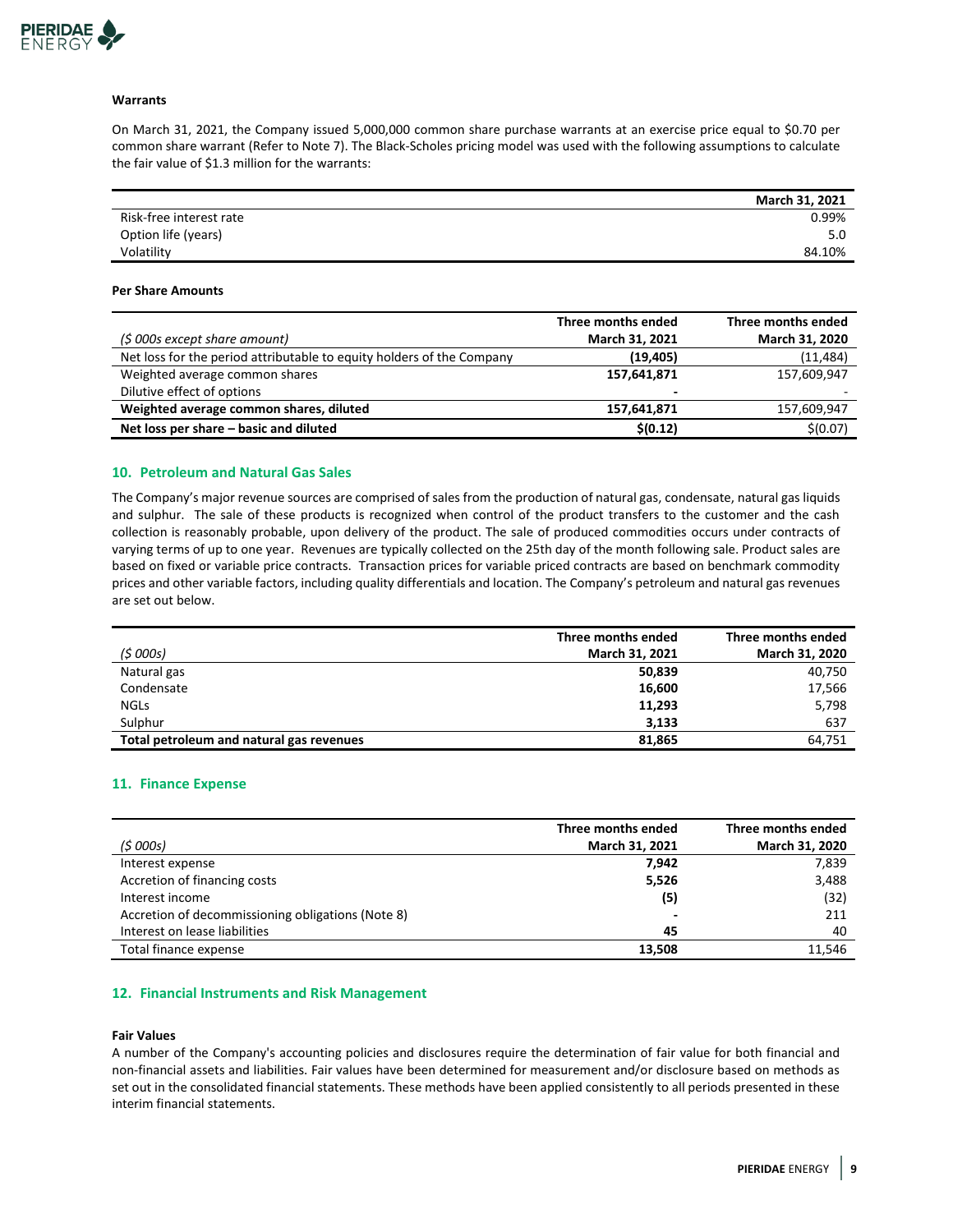

## **Warrants**

On March 31, 2021, the Company issued 5,000,000 common share purchase warrants at an exercise price equal to \$0.70 per common share warrant (Refer to Note 7). The Black-Scholes pricing model was used with the following assumptions to calculate the fair value of \$1.3 million for the warrants:

|                         | March 31, 2021 |
|-------------------------|----------------|
| Risk-free interest rate | 0.99%          |
| Option life (years)     | 5.0            |
| Volatility              | 84.10%         |

#### **Per Share Amounts**

|                                                                       | Three months ended       | Three months ended |
|-----------------------------------------------------------------------|--------------------------|--------------------|
| (\$ 000s except share amount)                                         | March 31, 2021           | March 31, 2020     |
| Net loss for the period attributable to equity holders of the Company | (19, 405)                | (11, 484)          |
| Weighted average common shares                                        | 157,641,871              | 157,609,947        |
| Dilutive effect of options                                            | $\overline{\phantom{0}}$ |                    |
| Weighted average common shares, diluted                               | 157,641,871              | 157,609,947        |
| Net loss per share - basic and diluted                                | \$(0.12)                 | \$(0.07)           |

## **10. Petroleum and Natural Gas Sales**

The Company's major revenue sources are comprised of sales from the production of natural gas, condensate, natural gas liquids and sulphur. The sale of these products is recognized when control of the product transfers to the customer and the cash collection is reasonably probable, upon delivery of the product. The sale of produced commodities occurs under contracts of varying terms of up to one year. Revenues are typically collected on the 25th day of the month following sale. Product sales are based on fixed or variable price contracts. Transaction prices for variable priced contracts are based on benchmark commodity prices and other variable factors, including quality differentials and location. The Company's petroleum and natural gas revenues are set out below.

|                                          | Three months ended |                |
|------------------------------------------|--------------------|----------------|
| (5000s)                                  | March 31, 2021     | March 31, 2020 |
| Natural gas                              | 50,839             | 40,750         |
| Condensate                               | 16,600             | 17,566         |
| <b>NGLS</b>                              | 11,293             | 5,798          |
| Sulphur                                  | 3,133              | 637            |
| Total petroleum and natural gas revenues | 81,865             | 64.751         |

## **11. Finance Expense**

| (5000s)                                           | Three months ended<br>March 31, 2021 | Three months ended<br>March 31, 2020 |
|---------------------------------------------------|--------------------------------------|--------------------------------------|
|                                                   |                                      |                                      |
| Interest expense                                  | 7.942                                | 7,839                                |
| Accretion of financing costs                      | 5,526                                | 3,488                                |
| Interest income                                   | (5)                                  | (32)                                 |
| Accretion of decommissioning obligations (Note 8) | $\overline{\phantom{0}}$             | 211                                  |
| Interest on lease liabilities                     | 45                                   | 40                                   |
| Total finance expense                             | 13.508                               | 11.546                               |

## **12. Financial Instruments and Risk Management**

#### **Fair Values**

A number of the Company's accounting policies and disclosures require the determination of fair value for both financial and non-financial assets and liabilities. Fair values have been determined for measurement and/or disclosure based on methods as set out in the consolidated financial statements. These methods have been applied consistently to all periods presented in these interim financial statements.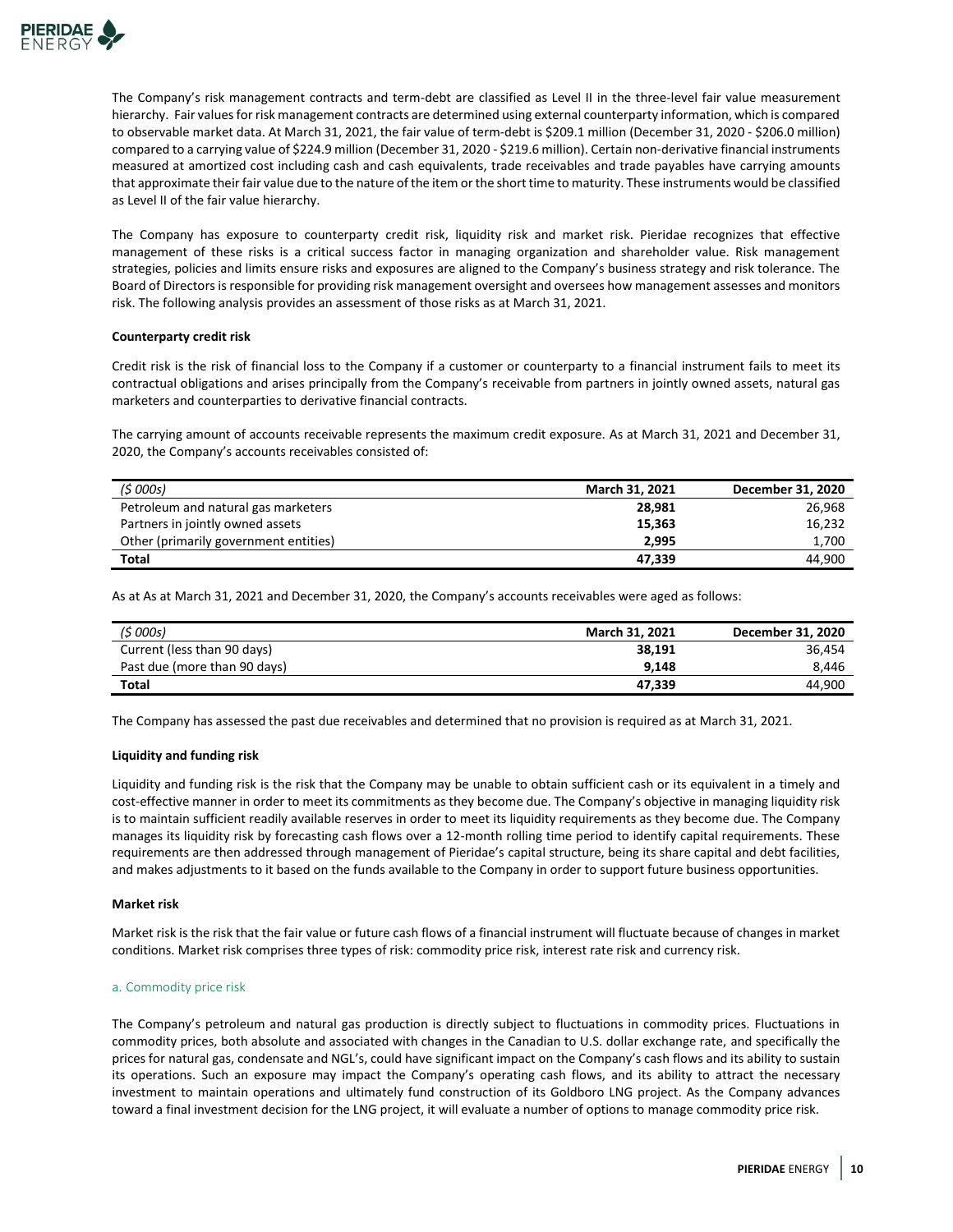

The Company's risk management contracts and term-debt are classified as Level II in the three-level fair value measurement hierarchy. Fair values for risk management contracts are determined using external counterparty information, which is compared to observable market data. At March 31, 2021, the fair value of term-debt is \$209.1 million (December 31, 2020 - \$206.0 million) compared to a carrying value of \$224.9 million (December 31, 2020 - \$219.6 million). Certain non-derivative financial instruments measured at amortized cost including cash and cash equivalents, trade receivables and trade payables have carrying amounts that approximate their fair value due to the nature of the item or the short time to maturity. These instruments would be classified as Level II of the fair value hierarchy.

The Company has exposure to counterparty credit risk, liquidity risk and market risk. Pieridae recognizes that effective management of these risks is a critical success factor in managing organization and shareholder value. Risk management strategies, policies and limits ensure risks and exposures are aligned to the Company's business strategy and risk tolerance. The Board of Directors is responsible for providing risk management oversight and oversees how management assesses and monitors risk. The following analysis provides an assessment of those risks as at March 31, 2021.

## **Counterparty credit risk**

Credit risk is the risk of financial loss to the Company if a customer or counterparty to a financial instrument fails to meet its contractual obligations and arises principally from the Company's receivable from partners in jointly owned assets, natural gas marketers and counterparties to derivative financial contracts.

The carrying amount of accounts receivable represents the maximum credit exposure. As at March 31, 2021 and December 31, 2020, the Company's accounts receivables consisted of:

| (\$ 000s)                             | <b>March 31, 2021</b> | December 31, 2020 |
|---------------------------------------|-----------------------|-------------------|
| Petroleum and natural gas marketers   | 28.981                | 26.968            |
| Partners in jointly owned assets      | 15.363                | 16,232            |
| Other (primarily government entities) | 2.995                 | 1.700             |
| Total                                 | 47.339                | 44.900            |

As at As at March 31, 2021 and December 31, 2020, the Company's accounts receivables were aged as follows:

| (\$ 000s)                    | <b>March 31, 2021</b> | December 31, 2020 |
|------------------------------|-----------------------|-------------------|
| Current (less than 90 days)  | 38.191                | 36.454            |
| Past due (more than 90 days) | 9.148                 | 8.446             |
| Total                        | 47.339                | 44.900            |

The Company has assessed the past due receivables and determined that no provision is required as at March 31, 2021.

## **Liquidity and funding risk**

Liquidity and funding risk is the risk that the Company may be unable to obtain sufficient cash or its equivalent in a timely and cost-effective manner in order to meet its commitments as they become due. The Company's objective in managing liquidity risk is to maintain sufficient readily available reserves in order to meet its liquidity requirements as they become due. The Company manages its liquidity risk by forecasting cash flows over a 12-month rolling time period to identify capital requirements. These requirements are then addressed through management of Pieridae's capital structure, being its share capital and debt facilities, and makes adjustments to it based on the funds available to the Company in order to support future business opportunities.

## **Market risk**

Market risk is the risk that the fair value or future cash flows of a financial instrument will fluctuate because of changes in market conditions. Market risk comprises three types of risk: commodity price risk, interest rate risk and currency risk.

#### a. Commodity price risk

The Company's petroleum and natural gas production is directly subject to fluctuations in commodity prices. Fluctuations in commodity prices, both absolute and associated with changes in the Canadian to U.S. dollar exchange rate, and specifically the prices for natural gas, condensate and NGL's, could have significant impact on the Company's cash flows and its ability to sustain its operations. Such an exposure may impact the Company's operating cash flows, and its ability to attract the necessary investment to maintain operations and ultimately fund construction of its Goldboro LNG project. As the Company advances toward a final investment decision for the LNG project, it will evaluate a number of options to manage commodity price risk.